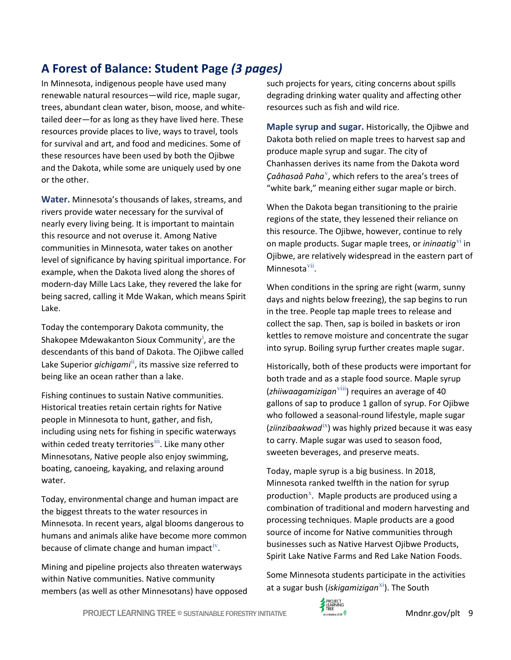## **A Forest of Balance: Student Page** *(3 pages)*

In Minnesota, indigenous people have used many renewable natural resources—wild rice, maple sugar, trees, abundant clean water, bison, moose, and whitetailed deer—for as long as they have lived here. These resources provide places to live, ways to travel, tools for survival and art, and food and medicines. Some of these resources have been used by both the Ojibwe and the Dakota, while some are uniquely used by one or the other.

**Water.** Minnesota's thousands of lakes, streams, and rivers provide water necessary for the survival of nearly every living being. It is important to maintain this resource and not overuse it. Among Native communities in Minnesota, water takes on another level of significance by having spiritual importance. For example, when the Dakota lived along the shores of modern-day Mille Lacs Lake, they revered the lake for being sacred, calling it Mde Wakan, which means Spirit Lake.

Today the contemporary Dakota community, the Shakopee Mdewakanton Sioux Community<sup>i</sup>, are the descendants of this band of Dakota. The Ojibwe called Lake Superior *gichigami*<sup>ii</sup>, its massive size referred to being like an ocean rather than a lake.

Fishing continues to sustain Native communities. Historical treaties retain certain rights for Native people in Minnesota to hunt, gather, and fish, including using nets for fishing in specific waterways within ceded treaty territories<sup>iii</sup>. Like many other Minnesotans, Native people also enjoy swimming, boating, canoeing, kayaking, and relaxing around water.

Today, environmental change and human impact are the biggest threats to the water resources in Minnesota. In recent years, algal blooms dangerous to humans and animals alike have become more common because of climate change and human impact<sup> $V$ </sup>.

Mining and pipeline projects also threaten waterways within Native communities. Native community members (as well as other Minnesotans) have opposed such projects for years, citing concerns about spills degrading drinking water quality and affecting other resources such as fish and wild rice.

**Maple syrup and sugar.** Historically, the Ojibwe and Dakota both relied on maple trees to harvest sap and produce maple syrup and sugar. The city of Chanhassen derives its name from the Dakota word Çaåhasaå Paha<sup>v</sup>, which refers to the area's trees of "white bark," meaning either sugar maple or birch.

When the Dakota began transitioning to the prairie regions of the state, they lessened their reliance on this resource. The Ojibwe, however, continue to rely on maple products. Sugar maple trees, or *iningatig*<sup>v1</sup> in Ojibwe, are relatively widespread in the eastern part of Minnesota<sup>vii</sup>.

When conditions in the spring are right (warm, sunny days and nights below freezing), the sap begins to run in the tree. People tap maple trees to release and collect the sap. Then, sap is boiled in baskets or iron kettles to remove moisture and concentrate the sugar into syrup. Boiling syrup further creates maple sugar.

Historically, both of these products were important for both trade and as a staple food source. Maple syrup (*zhiiwaagamizigan*viii) requires an average of 40 gallons of sap to produce 1 gallon of syrup. For Ojibwe who followed a seasonal-round lifestyle, maple sugar (*ziinzibaakwad*ix) was highly prized because it was easy to carry. Maple sugar was used to season food, sweeten beverages, and preserve meats.

Today, maple syrup is a big business. In 2018, Minnesota ranked twelfth in the nation for syrup production<sup>x</sup>. Maple products are produced using a combination of traditional and modern harvesting and processing techniques. Maple products are a good source of income for Native communities through businesses such as Native Harvest Ojibwe Products, Spirit Lake Native Farms and Red Lake Nation Foods.

Some Minnesota students participate in the activities at a sugar bush (*iskigamizigan*<sup>xi</sup>). The South

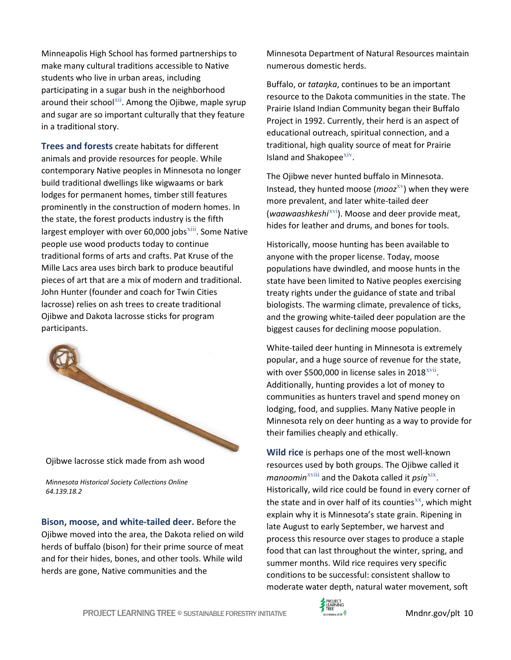Minneapolis High School has formed partnerships to make many cultural traditions accessible to Native students who live in urban areas, including participating in a sugar bush in the neighborhood around their school $^{xii}$ . Among the Ojibwe, maple syrup and sugar are so important culturally that they feature in a traditional story.

**Trees and forests** create habitats for different animals and provide resources for people. While contemporary Native peoples in Minnesota no longer build traditional dwellings like wigwaams or bark lodges for permanent homes, timber still features prominently in the construction of modern homes. In the state, the forest products industry is the fifth largest employer with over 60,000 jobs $\frac{1}{10}$ . Some Native people use wood products today to continue traditional forms of arts and crafts. Pat Kruse of the Mille Lacs area uses birch bark to produce beautiful pieces of art that are a mix of modern and traditional. John Hunter (founder and coach for Twin Cities lacrosse) relies on ash trees to create traditional Ojibwe and Dakota lacrosse sticks for program participants.



Ojibwe lacrosse stick made from ash wood

*Minnesota Historical Society Collections Online 64.139.18.2*

**Bison, moose, and white-tailed deer.** Before the Ojibwe moved into the area, the Dakota relied on wild herds of buffalo (bison) for their prime source of meat and for their hides, bones, and other tools. While wild herds are gone, Native communities and the

Minnesota Department of Natural Resources maintain numerous domestic herds.

Buffalo, or *tataŋka*, continues to be an important resource to the Dakota communities in the state. The Prairie Island Indian Community began their Buffalo Project in 1992. Currently, their herd is an aspect of educational outreach, spiritual connection, and a traditional, high quality source of meat for Prairie Island and Shakopee $\frac{xiv}{y}$ .

The Ojibwe never hunted buffalo in Minnesota. Instead, they hunted moose (*mooz*<sup>xv</sup>) when they were more prevalent, and later white-tailed deer (*waawaashkeshi*xvi). Moose and deer provide meat, hides for leather and drums, and bones for tools.

Historically, moose hunting has been available to anyone with the proper license. Today, moose populations have dwindled, and moose hunts in the state have been limited to Native peoples exercising treaty rights under the guidance of state and tribal biologists. The warming climate, prevalence of ticks, and the growing white-tailed deer population are the biggest causes for declining moose population.

White-tailed deer hunting in Minnesota is extremely popular, and a huge source of revenue for the state, with over \$500,000 in license sales in  $2018$ <sup>xvii</sup>. Additionally, hunting provides a lot of money to communities as hunters travel and spend money on lodging, food, and supplies. Many Native people in Minnesota rely on deer hunting as a way to provide for their families cheaply and ethically.

**Wild rice** is perhaps one of the most well-known resources used by both groups. The Ojibwe called it *manoomin*xviii and the Dakota called it *psiŋ*xix. Historically, wild rice could be found in every corner of the state and in over half of its counties $^{xx}$ , which might explain why it is Minnesota's state grain. Ripening in late August to early September, we harvest and process this resource over stages to produce a staple food that can last throughout the winter, spring, and summer months. Wild rice requires very specific conditions to be successful: consistent shallow to moderate water depth, natural water movement, soft